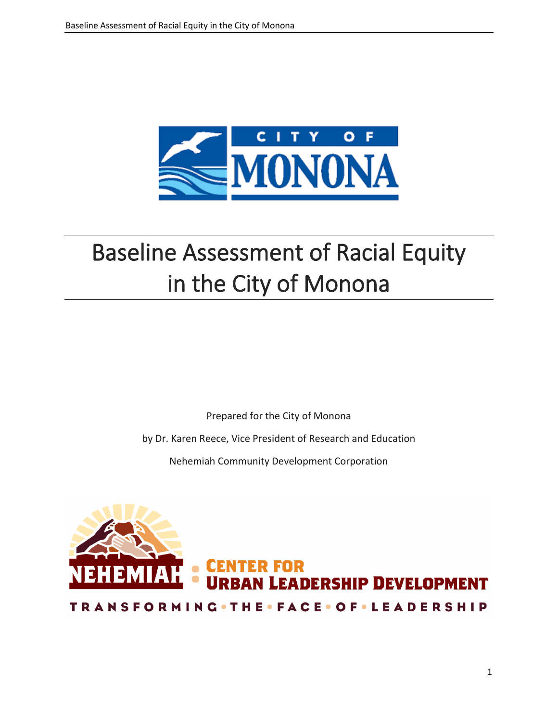

# Baseline Assessment of Racial Equity in the City of Monona

Prepared for the City of Monona

by Dr. Karen Reece, Vice President of Research and Education

Nehemiah Community Development Corporation

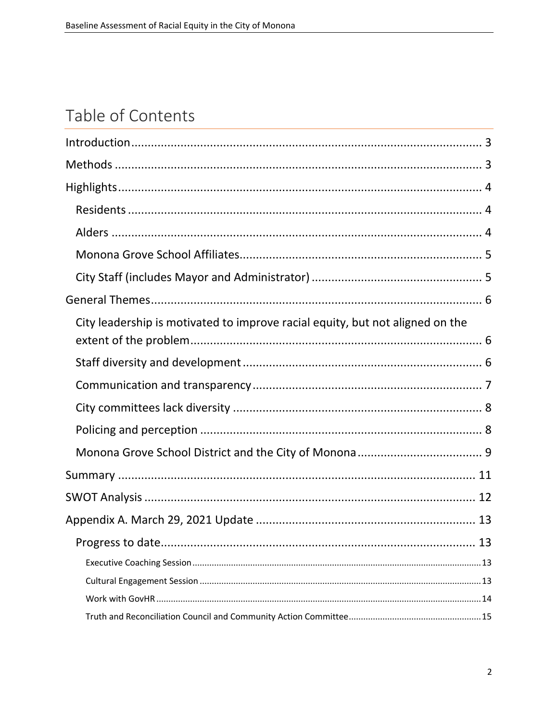# Table of Contents

| City leadership is motivated to improve racial equity, but not aligned on the |
|-------------------------------------------------------------------------------|
|                                                                               |
|                                                                               |
|                                                                               |
|                                                                               |
|                                                                               |
|                                                                               |
|                                                                               |
|                                                                               |
|                                                                               |
|                                                                               |
|                                                                               |
|                                                                               |
|                                                                               |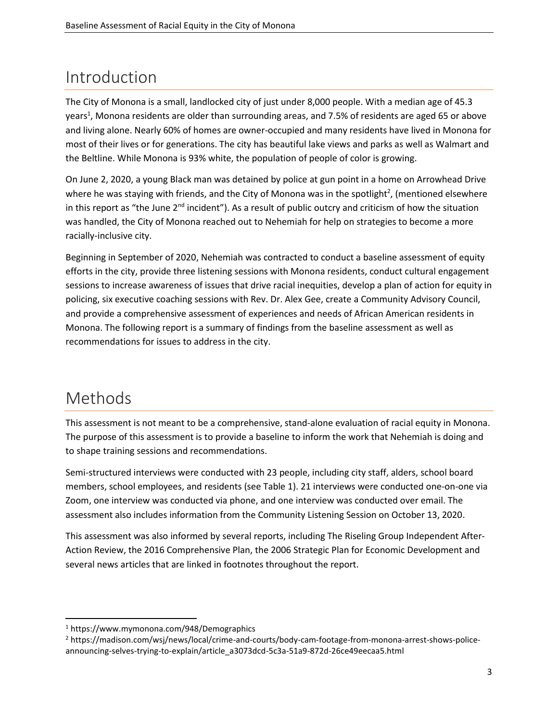# <span id="page-2-0"></span>Introduction

The City of Monona is a small, landlocked city of just under 8,000 people. With a median age of 45.3 years<sup>1</sup>, Monona residents are older than surrounding areas, and 7.5% of residents are aged 65 or above and living alone. Nearly 60% of homes are owner-occupied and many residents have lived in Monona for most of their lives or for generations. The city has beautiful lake views and parks as well as Walmart and the Beltline. While Monona is 93% white, the population of people of color is growing.

On June 2, 2020, a young Black man was detained by police at gun point in a home on Arrowhead Drive where he was staying with friends, and the City of Monona was in the spotlight<sup>2</sup>, (mentioned elsewhere in this report as "the June 2<sup>nd</sup> incident"). As a result of public outcry and criticism of how the situation was handled, the City of Monona reached out to Nehemiah for help on strategies to become a more racially-inclusive city.

Beginning in September of 2020, Nehemiah was contracted to conduct a baseline assessment of equity efforts in the city, provide three listening sessions with Monona residents, conduct cultural engagement sessions to increase awareness of issues that drive racial inequities, develop a plan of action for equity in policing, six executive coaching sessions with Rev. Dr. Alex Gee, create a Community Advisory Council, and provide a comprehensive assessment of experiences and needs of African American residents in Monona. The following report is a summary of findings from the baseline assessment as well as recommendations for issues to address in the city.

# <span id="page-2-1"></span>Methods

This assessment is not meant to be a comprehensive, stand-alone evaluation of racial equity in Monona. The purpose of this assessment is to provide a baseline to inform the work that Nehemiah is doing and to shape training sessions and recommendations.

Semi-structured interviews were conducted with 23 people, including city staff, alders, school board members, school employees, and residents (see Table 1). 21 interviews were conducted one-on-one via Zoom, one interview was conducted via phone, and one interview was conducted over email. The assessment also includes information from the Community Listening Session on October 13, 2020.

This assessment was also informed by several reports, including The Riseling Group Independent After-Action Review, the 2016 Comprehensive Plan, the 2006 Strategic Plan for Economic Development and several news articles that are linked in footnotes throughout the report.

<sup>1</sup> https://www.mymonona.com/948/Demographics

<sup>2</sup> https://madison.com/wsj/news/local/crime-and-courts/body-cam-footage-from-monona-arrest-shows-policeannouncing-selves-trying-to-explain/article\_a3073dcd-5c3a-51a9-872d-26ce49eecaa5.html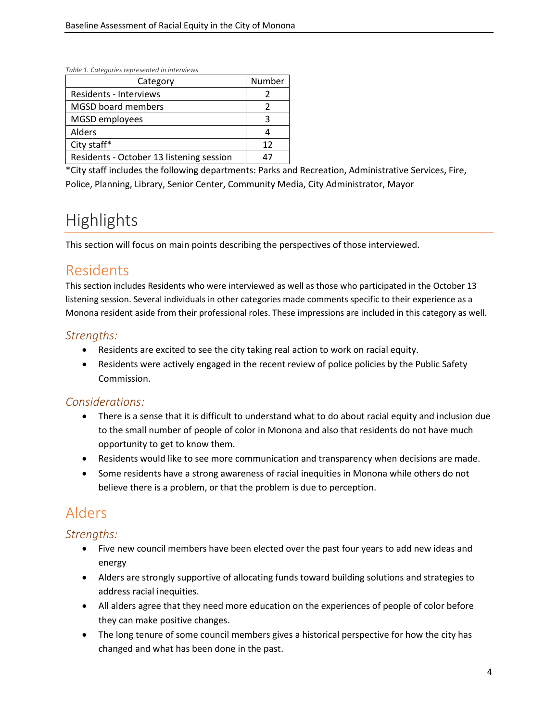*Table 1. Categories represented in interviews*

| Category                                 | Number |
|------------------------------------------|--------|
| <b>Residents - Interviews</b>            |        |
| <b>MGSD board members</b>                |        |
| MGSD employees                           | ੨      |
| Alders                                   |        |
| City staff*                              | 12     |
| Residents - October 13 listening session |        |

\*City staff includes the following departments: Parks and Recreation, Administrative Services, Fire, Police, Planning, Library, Senior Center, Community Media, City Administrator, Mayor

# <span id="page-3-0"></span>**Highlights**

This section will focus on main points describing the perspectives of those interviewed.

### <span id="page-3-1"></span>Residents

This section includes Residents who were interviewed as well as those who participated in the October 13 listening session. Several individuals in other categories made comments specific to their experience as a Monona resident aside from their professional roles. These impressions are included in this category as well.

#### *Strengths:*

- Residents are excited to see the city taking real action to work on racial equity.
- Residents were actively engaged in the recent review of police policies by the Public Safety Commission.

#### *Considerations:*

- There is a sense that it is difficult to understand what to do about racial equity and inclusion due to the small number of people of color in Monona and also that residents do not have much opportunity to get to know them.
- Residents would like to see more communication and transparency when decisions are made.
- Some residents have a strong awareness of racial inequities in Monona while others do not believe there is a problem, or that the problem is due to perception.

# <span id="page-3-2"></span>Alders

#### *Strengths:*

- Five new council members have been elected over the past four years to add new ideas and energy
- Alders are strongly supportive of allocating funds toward building solutions and strategies to address racial inequities.
- All alders agree that they need more education on the experiences of people of color before they can make positive changes.
- The long tenure of some council members gives a historical perspective for how the city has changed and what has been done in the past.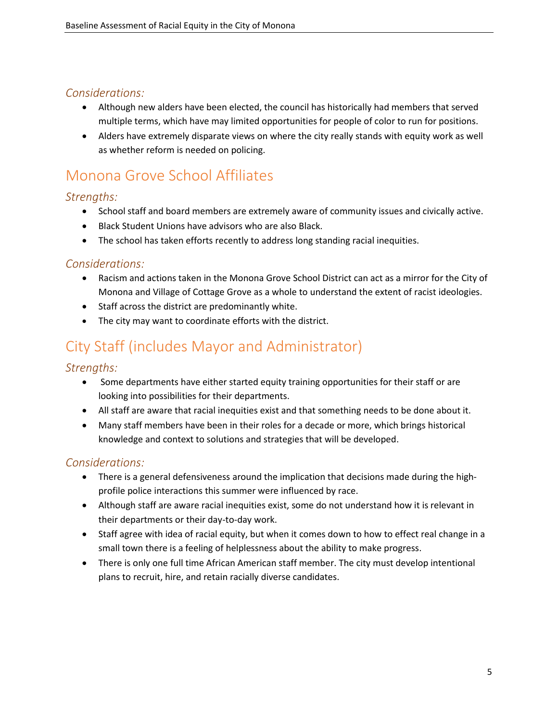#### *Considerations:*

- Although new alders have been elected, the council has historically had members that served multiple terms, which have may limited opportunities for people of color to run for positions.
- Alders have extremely disparate views on where the city really stands with equity work as well as whether reform is needed on policing.

### <span id="page-4-0"></span>Monona Grove School Affiliates

#### *Strengths:*

- School staff and board members are extremely aware of community issues and civically active.
- Black Student Unions have advisors who are also Black.
- The school has taken efforts recently to address long standing racial inequities.

#### *Considerations:*

- Racism and actions taken in the Monona Grove School District can act as a mirror for the City of Monona and Village of Cottage Grove as a whole to understand the extent of racist ideologies.
- Staff across the district are predominantly white.
- The city may want to coordinate efforts with the district.

# <span id="page-4-1"></span>City Staff (includes Mayor and Administrator)

#### *Strengths:*

- Some departments have either started equity training opportunities for their staff or are looking into possibilities for their departments.
- All staff are aware that racial inequities exist and that something needs to be done about it.
- Many staff members have been in their roles for a decade or more, which brings historical knowledge and context to solutions and strategies that will be developed.

#### *Considerations:*

- There is a general defensiveness around the implication that decisions made during the highprofile police interactions this summer were influenced by race.
- Although staff are aware racial inequities exist, some do not understand how it is relevant in their departments or their day-to-day work.
- Staff agree with idea of racial equity, but when it comes down to how to effect real change in a small town there is a feeling of helplessness about the ability to make progress.
- There is only one full time African American staff member. The city must develop intentional plans to recruit, hire, and retain racially diverse candidates.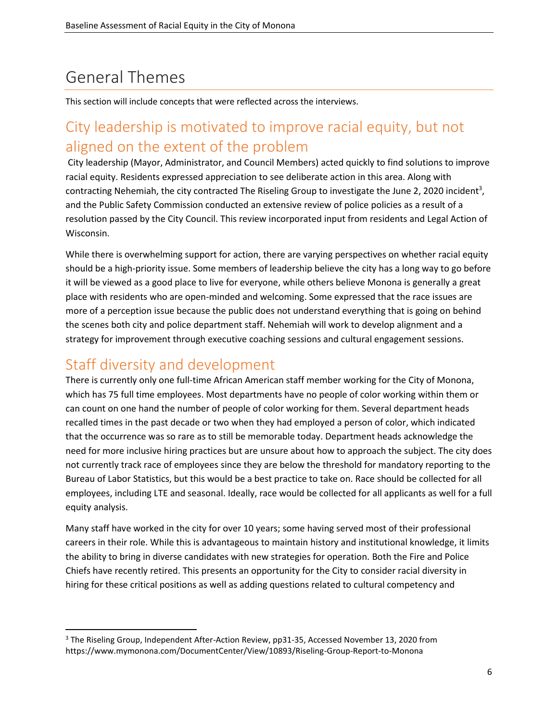# <span id="page-5-0"></span>General Themes

This section will include concepts that were reflected across the interviews.

# <span id="page-5-1"></span>City leadership is motivated to improve racial equity, but not aligned on the extent of the problem

City leadership (Mayor, Administrator, and Council Members) acted quickly to find solutions to improve racial equity. Residents expressed appreciation to see deliberate action in this area. Along with contracting Nehemiah, the city contracted The Riseling Group to investigate the June 2, 2020 incident<sup>3</sup>, and the Public Safety Commission conducted an extensive review of police policies as a result of a resolution passed by the City Council. This review incorporated input from residents and Legal Action of Wisconsin.

While there is overwhelming support for action, there are varying perspectives on whether racial equity should be a high-priority issue. Some members of leadership believe the city has a long way to go before it will be viewed as a good place to live for everyone, while others believe Monona is generally a great place with residents who are open-minded and welcoming. Some expressed that the race issues are more of a perception issue because the public does not understand everything that is going on behind the scenes both city and police department staff. Nehemiah will work to develop alignment and a strategy for improvement through executive coaching sessions and cultural engagement sessions.

### <span id="page-5-2"></span>Staff diversity and development

There is currently only one full-time African American staff member working for the City of Monona, which has 75 full time employees. Most departments have no people of color working within them or can count on one hand the number of people of color working for them. Several department heads recalled times in the past decade or two when they had employed a person of color, which indicated that the occurrence was so rare as to still be memorable today. Department heads acknowledge the need for more inclusive hiring practices but are unsure about how to approach the subject. The city does not currently track race of employees since they are below the threshold for mandatory reporting to the Bureau of Labor Statistics, but this would be a best practice to take on. Race should be collected for all employees, including LTE and seasonal. Ideally, race would be collected for all applicants as well for a full equity analysis.

Many staff have worked in the city for over 10 years; some having served most of their professional careers in their role. While this is advantageous to maintain history and institutional knowledge, it limits the ability to bring in diverse candidates with new strategies for operation. Both the Fire and Police Chiefs have recently retired. This presents an opportunity for the City to consider racial diversity in hiring for these critical positions as well as adding questions related to cultural competency and

<sup>3</sup> The Riseling Group, Independent After-Action Review, pp31-35, Accessed November 13, 2020 from https://www.mymonona.com/DocumentCenter/View/10893/Riseling-Group-Report-to-Monona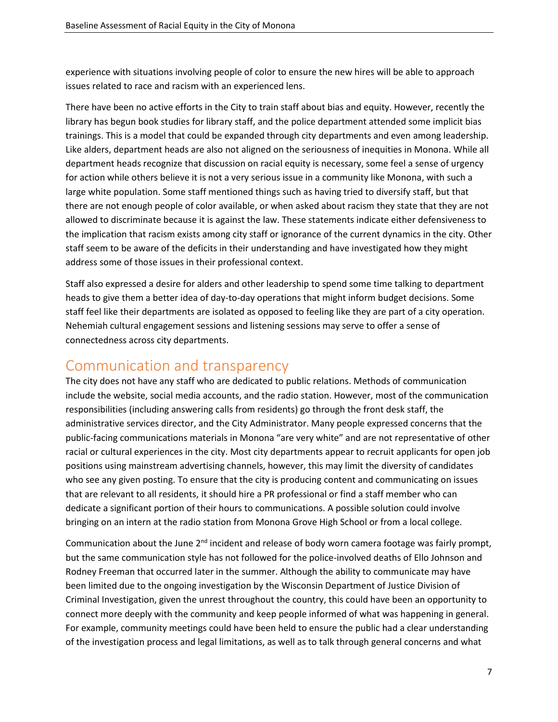experience with situations involving people of color to ensure the new hires will be able to approach issues related to race and racism with an experienced lens.

There have been no active efforts in the City to train staff about bias and equity. However, recently the library has begun book studies for library staff, and the police department attended some implicit bias trainings. This is a model that could be expanded through city departments and even among leadership. Like alders, department heads are also not aligned on the seriousness of inequities in Monona. While all department heads recognize that discussion on racial equity is necessary, some feel a sense of urgency for action while others believe it is not a very serious issue in a community like Monona, with such a large white population. Some staff mentioned things such as having tried to diversify staff, but that there are not enough people of color available, or when asked about racism they state that they are not allowed to discriminate because it is against the law. These statements indicate either defensiveness to the implication that racism exists among city staff or ignorance of the current dynamics in the city. Other staff seem to be aware of the deficits in their understanding and have investigated how they might address some of those issues in their professional context.

Staff also expressed a desire for alders and other leadership to spend some time talking to department heads to give them a better idea of day-to-day operations that might inform budget decisions. Some staff feel like their departments are isolated as opposed to feeling like they are part of a city operation. Nehemiah cultural engagement sessions and listening sessions may serve to offer a sense of connectedness across city departments.

#### <span id="page-6-0"></span>Communication and transparency

The city does not have any staff who are dedicated to public relations. Methods of communication include the website, social media accounts, and the radio station. However, most of the communication responsibilities (including answering calls from residents) go through the front desk staff, the administrative services director, and the City Administrator. Many people expressed concerns that the public-facing communications materials in Monona "are very white" and are not representative of other racial or cultural experiences in the city. Most city departments appear to recruit applicants for open job positions using mainstream advertising channels, however, this may limit the diversity of candidates who see any given posting. To ensure that the city is producing content and communicating on issues that are relevant to all residents, it should hire a PR professional or find a staff member who can dedicate a significant portion of their hours to communications. A possible solution could involve bringing on an intern at the radio station from Monona Grove High School or from a local college.

Communication about the June  $2<sup>nd</sup>$  incident and release of body worn camera footage was fairly prompt, but the same communication style has not followed for the police-involved deaths of Ello Johnson and Rodney Freeman that occurred later in the summer. Although the ability to communicate may have been limited due to the ongoing investigation by the Wisconsin Department of Justice Division of Criminal Investigation, given the unrest throughout the country, this could have been an opportunity to connect more deeply with the community and keep people informed of what was happening in general. For example, community meetings could have been held to ensure the public had a clear understanding of the investigation process and legal limitations, as well as to talk through general concerns and what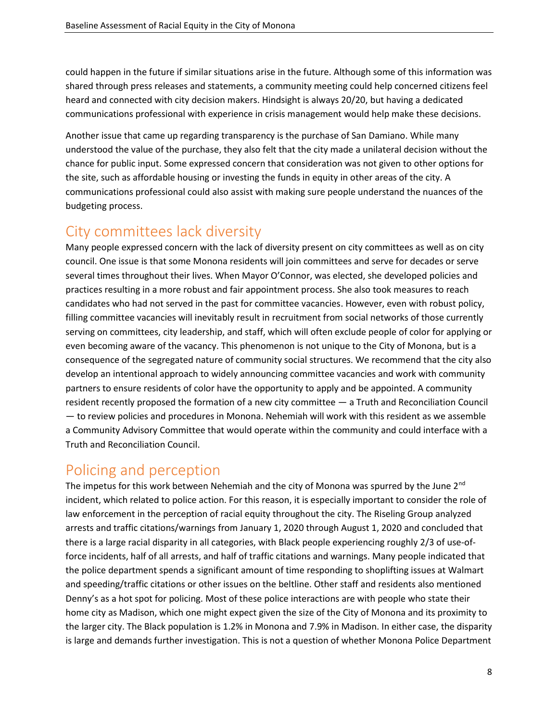could happen in the future if similar situations arise in the future. Although some of this information was shared through press releases and statements, a community meeting could help concerned citizens feel heard and connected with city decision makers. Hindsight is always 20/20, but having a dedicated communications professional with experience in crisis management would help make these decisions.

Another issue that came up regarding transparency is the purchase of San Damiano. While many understood the value of the purchase, they also felt that the city made a unilateral decision without the chance for public input. Some expressed concern that consideration was not given to other options for the site, such as affordable housing or investing the funds in equity in other areas of the city. A communications professional could also assist with making sure people understand the nuances of the budgeting process.

### <span id="page-7-0"></span>City committees lack diversity

Many people expressed concern with the lack of diversity present on city committees as well as on city council. One issue is that some Monona residents will join committees and serve for decades or serve several times throughout their lives. When Mayor O'Connor, was elected, she developed policies and practices resulting in a more robust and fair appointment process. She also took measures to reach candidates who had not served in the past for committee vacancies. However, even with robust policy, filling committee vacancies will inevitably result in recruitment from social networks of those currently serving on committees, city leadership, and staff, which will often exclude people of color for applying or even becoming aware of the vacancy. This phenomenon is not unique to the City of Monona, but is a consequence of the segregated nature of community social structures. We recommend that the city also develop an intentional approach to widely announcing committee vacancies and work with community partners to ensure residents of color have the opportunity to apply and be appointed. A community resident recently proposed the formation of a new city committee — a Truth and Reconciliation Council — to review policies and procedures in Monona. Nehemiah will work with this resident as we assemble a Community Advisory Committee that would operate within the community and could interface with a Truth and Reconciliation Council.

### <span id="page-7-1"></span>Policing and perception

The impetus for this work between Nehemiah and the city of Monona was spurred by the June  $2<sup>nd</sup>$ incident, which related to police action. For this reason, it is especially important to consider the role of law enforcement in the perception of racial equity throughout the city. The Riseling Group analyzed arrests and traffic citations/warnings from January 1, 2020 through August 1, 2020 and concluded that there is a large racial disparity in all categories, with Black people experiencing roughly 2/3 of use-offorce incidents, half of all arrests, and half of traffic citations and warnings. Many people indicated that the police department spends a significant amount of time responding to shoplifting issues at Walmart and speeding/traffic citations or other issues on the beltline. Other staff and residents also mentioned Denny's as a hot spot for policing. Most of these police interactions are with people who state their home city as Madison, which one might expect given the size of the City of Monona and its proximity to the larger city. The Black population is 1.2% in Monona and 7.9% in Madison. In either case, the disparity is large and demands further investigation. This is not a question of whether Monona Police Department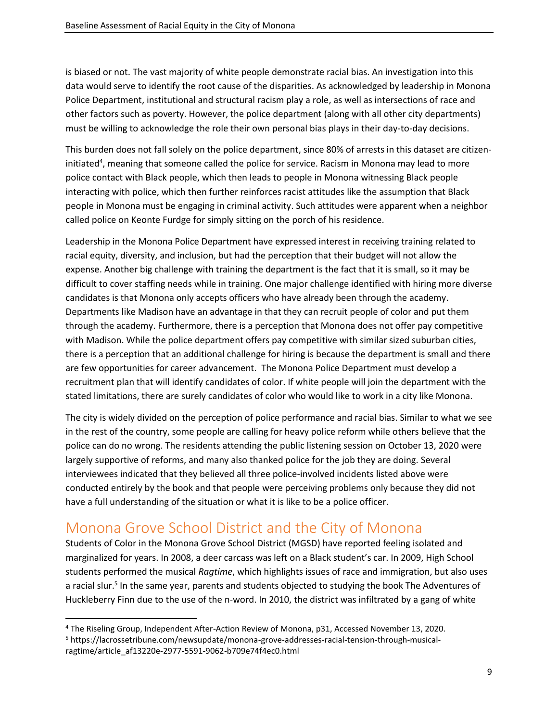is biased or not. The vast majority of white people demonstrate racial bias. An investigation into this data would serve to identify the root cause of the disparities. As acknowledged by leadership in Monona Police Department, institutional and structural racism play a role, as well as intersections of race and other factors such as poverty. However, the police department (along with all other city departments) must be willing to acknowledge the role their own personal bias plays in their day-to-day decisions.

This burden does not fall solely on the police department, since 80% of arrests in this dataset are citizeninitiated<sup>4</sup>, meaning that someone called the police for service. Racism in Monona may lead to more police contact with Black people, which then leads to people in Monona witnessing Black people interacting with police, which then further reinforces racist attitudes like the assumption that Black people in Monona must be engaging in criminal activity. Such attitudes were apparent when a neighbor called police on Keonte Furdge for simply sitting on the porch of his residence.

Leadership in the Monona Police Department have expressed interest in receiving training related to racial equity, diversity, and inclusion, but had the perception that their budget will not allow the expense. Another big challenge with training the department is the fact that it is small, so it may be difficult to cover staffing needs while in training. One major challenge identified with hiring more diverse candidates is that Monona only accepts officers who have already been through the academy. Departments like Madison have an advantage in that they can recruit people of color and put them through the academy. Furthermore, there is a perception that Monona does not offer pay competitive with Madison. While the police department offers pay competitive with similar sized suburban cities, there is a perception that an additional challenge for hiring is because the department is small and there are few opportunities for career advancement. The Monona Police Department must develop a recruitment plan that will identify candidates of color. If white people will join the department with the stated limitations, there are surely candidates of color who would like to work in a city like Monona.

The city is widely divided on the perception of police performance and racial bias. Similar to what we see in the rest of the country, some people are calling for heavy police reform while others believe that the police can do no wrong. The residents attending the public listening session on October 13, 2020 were largely supportive of reforms, and many also thanked police for the job they are doing. Several interviewees indicated that they believed all three police-involved incidents listed above were conducted entirely by the book and that people were perceiving problems only because they did not have a full understanding of the situation or what it is like to be a police officer.

# <span id="page-8-0"></span>Monona Grove School District and the City of Monona

Students of Color in the Monona Grove School District (MGSD) have reported feeling isolated and marginalized for years. In 2008, a deer carcass was left on a Black student's car. In 2009, High School students performed the musical *Ragtime*, which highlights issues of race and immigration, but also uses a racial slur.<sup>5</sup> In the same year, parents and students objected to studying the book The Adventures of Huckleberry Finn due to the use of the n-word. In 2010, the district was infiltrated by a gang of white

<sup>4</sup> The Riseling Group, Independent After-Action Review of Monona, p31, Accessed November 13, 2020.

<sup>5</sup> https://lacrossetribune.com/newsupdate/monona-grove-addresses-racial-tension-through-musicalragtime/article\_af13220e-2977-5591-9062-b709e74f4ec0.html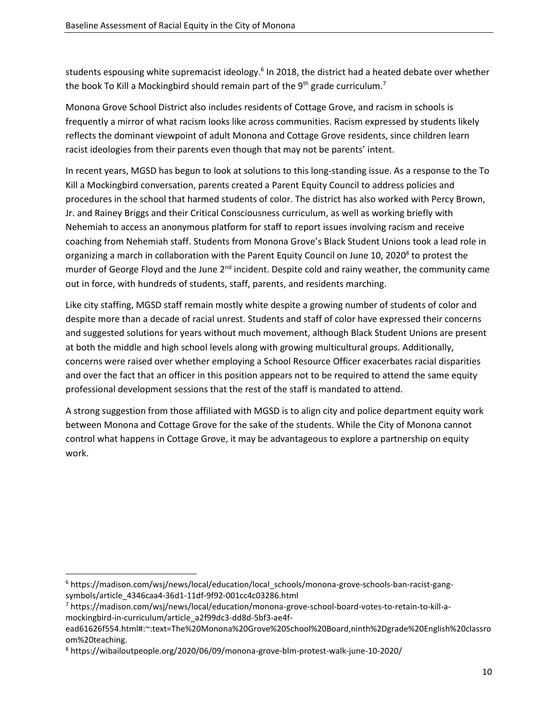students espousing white supremacist ideology.<sup>6</sup> In 2018, the district had a heated debate over whether the book To Kill a Mockingbird should remain part of the 9<sup>th</sup> grade curriculum.<sup>7</sup>

Monona Grove School District also includes residents of Cottage Grove, and racism in schools is frequently a mirror of what racism looks like across communities. Racism expressed by students likely reflects the dominant viewpoint of adult Monona and Cottage Grove residents, since children learn racist ideologies from their parents even though that may not be parents' intent.

In recent years, MGSD has begun to look at solutions to this long-standing issue. As a response to the To Kill a Mockingbird conversation, parents created a Parent Equity Council to address policies and procedures in the school that harmed students of color. The district has also worked with Percy Brown, Jr. and Rainey Briggs and their Critical Consciousness curriculum, as well as working briefly with Nehemiah to access an anonymous platform for staff to report issues involving racism and receive coaching from Nehemiah staff. Students from Monona Grove's Black Student Unions took a lead role in organizing a march in collaboration with the Parent Equity Council on June 10, 2020<sup>8</sup> to protest the murder of George Floyd and the June  $2<sup>nd</sup>$  incident. Despite cold and rainy weather, the community came out in force, with hundreds of students, staff, parents, and residents marching.

Like city staffing, MGSD staff remain mostly white despite a growing number of students of color and despite more than a decade of racial unrest. Students and staff of color have expressed their concerns and suggested solutions for years without much movement, although Black Student Unions are present at both the middle and high school levels along with growing multicultural groups. Additionally, concerns were raised over whether employing a School Resource Officer exacerbates racial disparities and over the fact that an officer in this position appears not to be required to attend the same equity professional development sessions that the rest of the staff is mandated to attend.

A strong suggestion from those affiliated with MGSD is to align city and police department equity work between Monona and Cottage Grove for the sake of the students. While the City of Monona cannot control what happens in Cottage Grove, it may be advantageous to explore a partnership on equity work.

<sup>6</sup> https://madison.com/wsj/news/local/education/local\_schools/monona-grove-schools-ban-racist-gangsymbols/article\_4346caa4-36d1-11df-9f92-001cc4c03286.html

<sup>7</sup> https://madison.com/wsj/news/local/education/monona-grove-school-board-votes-to-retain-to-kill-amockingbird-in-curriculum/article\_a2f99dc3-dd8d-5bf3-ae4f-

ead61626f554.html#:~:text=The%20Monona%20Grove%20School%20Board,ninth%2Dgrade%20English%20classro om%20teaching.

<sup>8</sup> https://wibailoutpeople.org/2020/06/09/monona-grove-blm-protest-walk-june-10-2020/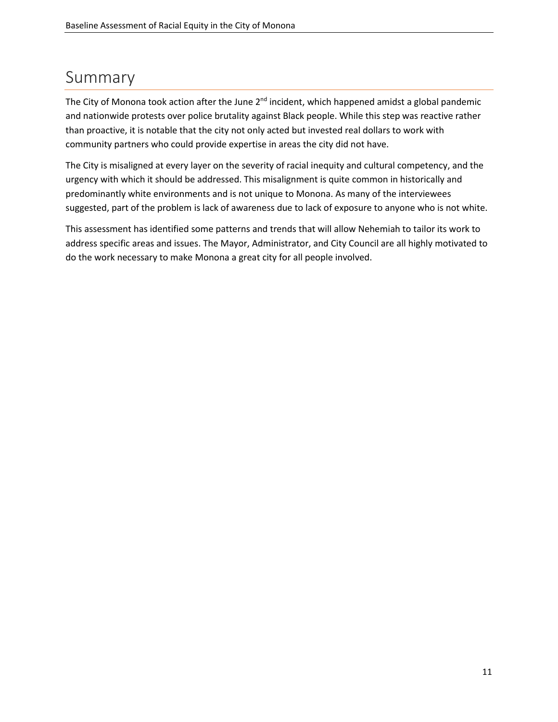# <span id="page-10-0"></span>Summary

The City of Monona took action after the June  $2<sup>nd</sup>$  incident, which happened amidst a global pandemic and nationwide protests over police brutality against Black people. While this step was reactive rather than proactive, it is notable that the city not only acted but invested real dollars to work with community partners who could provide expertise in areas the city did not have.

The City is misaligned at every layer on the severity of racial inequity and cultural competency, and the urgency with which it should be addressed. This misalignment is quite common in historically and predominantly white environments and is not unique to Monona. As many of the interviewees suggested, part of the problem is lack of awareness due to lack of exposure to anyone who is not white.

This assessment has identified some patterns and trends that will allow Nehemiah to tailor its work to address specific areas and issues. The Mayor, Administrator, and City Council are all highly motivated to do the work necessary to make Monona a great city for all people involved.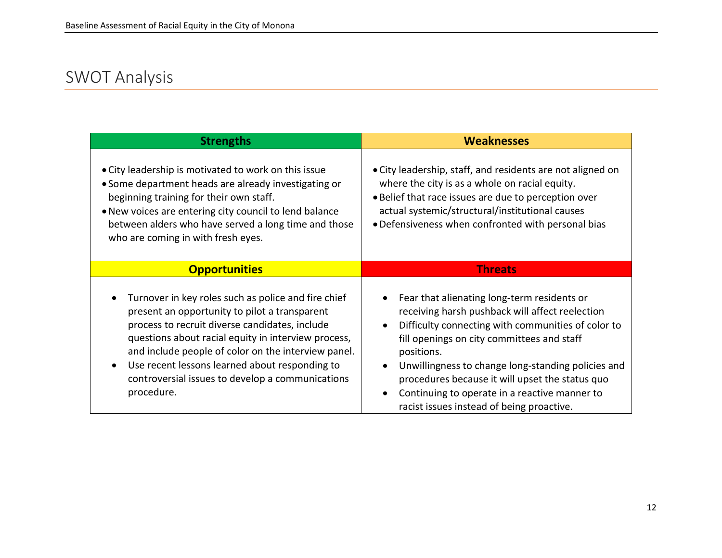# SWOT Analysis

<span id="page-11-0"></span>

| <b>Strengths</b>                                                                                                                                                                                                                                                                                                                                                                         | <b>Weaknesses</b>                                                                                                                                                                                                                                                                                                                                                                                                                                                           |
|------------------------------------------------------------------------------------------------------------------------------------------------------------------------------------------------------------------------------------------------------------------------------------------------------------------------------------------------------------------------------------------|-----------------------------------------------------------------------------------------------------------------------------------------------------------------------------------------------------------------------------------------------------------------------------------------------------------------------------------------------------------------------------------------------------------------------------------------------------------------------------|
| • City leadership is motivated to work on this issue<br>• Some department heads are already investigating or<br>beginning training for their own staff.<br>. New voices are entering city council to lend balance<br>between alders who have served a long time and those<br>who are coming in with fresh eyes.                                                                          | • City leadership, staff, and residents are not aligned on<br>where the city is as a whole on racial equity.<br>. Belief that race issues are due to perception over<br>actual systemic/structural/institutional causes<br>• Defensiveness when confronted with personal bias                                                                                                                                                                                               |
| <b>Opportunities</b>                                                                                                                                                                                                                                                                                                                                                                     | <b>Threats</b>                                                                                                                                                                                                                                                                                                                                                                                                                                                              |
| Turnover in key roles such as police and fire chief<br>present an opportunity to pilot a transparent<br>process to recruit diverse candidates, include<br>questions about racial equity in interview process,<br>and include people of color on the interview panel.<br>Use recent lessons learned about responding to<br>controversial issues to develop a communications<br>procedure. | Fear that alienating long-term residents or<br>$\bullet$<br>receiving harsh pushback will affect reelection<br>Difficulty connecting with communities of color to<br>$\bullet$<br>fill openings on city committees and staff<br>positions.<br>Unwillingness to change long-standing policies and<br>$\bullet$<br>procedures because it will upset the status quo<br>Continuing to operate in a reactive manner to<br>$\bullet$<br>racist issues instead of being proactive. |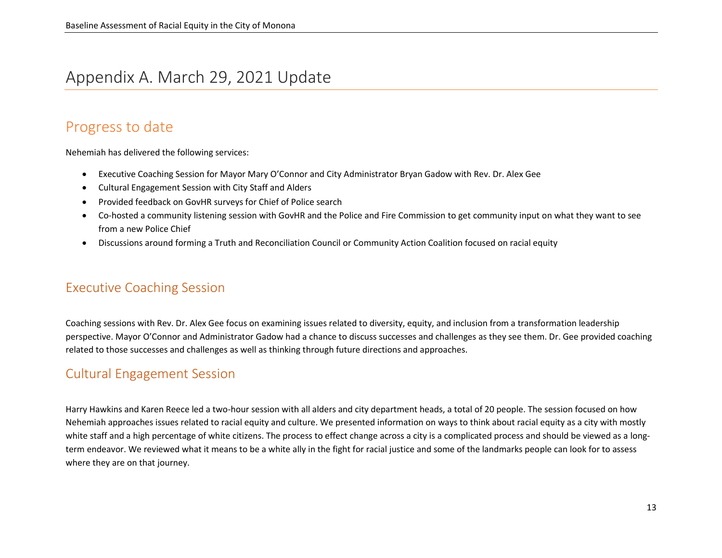### Appendix A. March 29, 2021 Update

### Progress to date

Nehemiah has delivered the following services:

- Executive Coaching Session for Mayor Mary O'Connor and City Administrator Bryan Gadow with Rev. Dr. Alex Gee
- Cultural Engagement Session with City Staff and Alders
- Provided feedback on GovHR surveys for Chief of Police search
- Co-hosted a community listening session with GovHR and the Police and Fire Commission to get community input on what they want to see from a new Police Chief
- <span id="page-12-0"></span>• Discussions around forming a Truth and Reconciliation Council or Community Action Coalition focused on racial equity

#### <span id="page-12-1"></span>Executive Coaching Session

Coaching sessions with Rev. Dr. Alex Gee focus on examining issues related to diversity, equity, and inclusion from a transformation leadership perspective. Mayor O'Connor and Administrator Gadow had a chance to discuss successes and challenges as they see them. Dr. Gee provided coaching related to those successes and challenges as well as thinking through future directions and approaches.

#### Cultural Engagement Session

<span id="page-12-3"></span><span id="page-12-2"></span>Harry Hawkins and Karen Reece led a two-hour session with all alders and city department heads, a total of 20 people. The session focused on how Nehemiah approaches issues related to racial equity and culture. We presented information on ways to think about racial equity as a city with mostly white staff and a high percentage of white citizens. The process to effect change across a city is a complicated process and should be viewed as a longterm endeavor. We reviewed what it means to be a white ally in the fight for racial justice and some of the landmarks people can look for to assess where they are on that journey.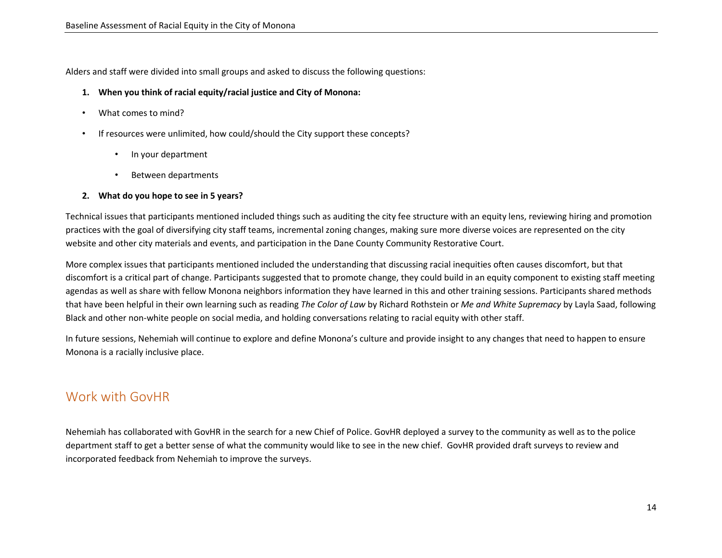Alders and staff were divided into small groups and asked to discuss the following questions:

- **1. When you think of racial equity/racial justice and City of Monona:**
- What comes to mind?
- If resources were unlimited, how could/should the City support these concepts?
	- In your department
	- Between departments

#### **2. What do you hope to see in 5 years?**

Technical issues that participants mentioned included things such as auditing the city fee structure with an equity lens, reviewing hiring and promotion practices with the goal of diversifying city staff teams, incremental zoning changes, making sure more diverse voices are represented on the city website and other city materials and events, and participation in the Dane County Community Restorative Court.

More complex issues that participants mentioned included the understanding that discussing racial inequities often causes discomfort, but that discomfort is a critical part of change. Participants suggested that to promote change, they could build in an equity component to existing staff meeting agendas as well as share with fellow Monona neighbors information they have learned in this and other training sessions. Participants shared methods that have been helpful in their own learning such as reading *The Color of Law* by Richard Rothstein or *Me and White Supremacy* by Layla Saad, following Black and other non-white people on social media, and holding conversations relating to racial equity with other staff.

In future sessions, Nehemiah will continue to explore and define Monona's culture and provide insight to any changes that need to happen to ensure Monona is a racially inclusive place.

#### Work with GovHR

<span id="page-13-0"></span>Nehemiah has collaborated with GovHR in the search for a new Chief of Police. GovHR deployed a survey to the community as well as to the police department staff to get a better sense of what the community would like to see in the new chief. GovHR provided draft surveys to review and incorporated feedback from Nehemiah to improve the surveys.